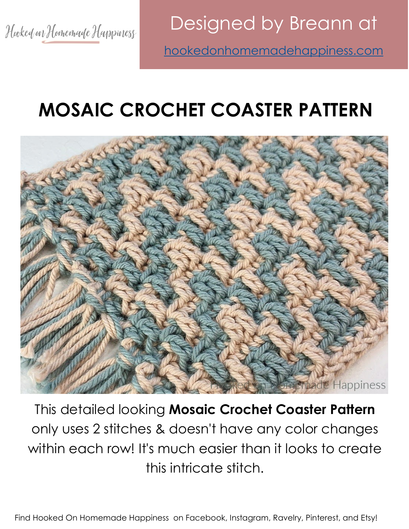Designed by Breann at <hookedonhomemadehappiness.com>

# **MOSAIC CROCHET COASTER PATTERN**



This detailed looking **Mosaic Crochet Coaster Pattern** only uses 2 stitches & doesn't have any color changes within each row! It's much easier than it looks to create this intricate stitch.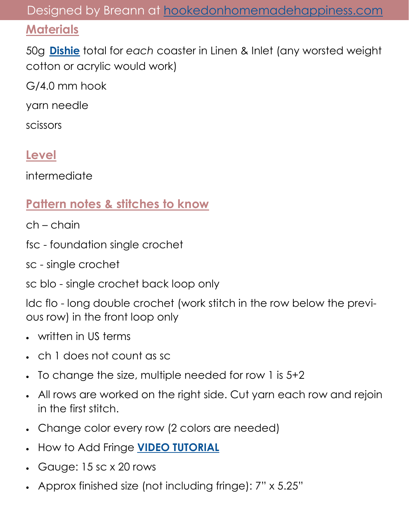#### Designed by Breann at <hookedonhomemadehappiness.com>

#### **Materials**

50g **[Dishie](https://shrsl.com/3if3v)** total for *each* coaster in Linen & Inlet (any worsted weight cotton or acrylic would work)

G/4.0 mm hook

yarn needle

scissors

#### **Level**

intermediate

### **Pattern notes & stitches to know**

- ch chain
- fsc foundation single crochet
- sc single crochet

sc blo - single crochet back loop only

ldc flo - long double crochet (work stitch in the row below the previous row) in the front loop only

- written in US terms
- ch 1 does not count as sc
- To change the size, multiple needed for row 1 is 5+2
- All rows are worked on the right side. Cut yarn each row and rejoin in the first stitch.
- Change color every row (2 colors are needed)
- How to Add Fringe **[VIDEO TUTORIAL](https://www.youtube.com/watch?v=YG3K3HzJ3-E&t=33s)**
- Gauge: 15 sc x 20 rows
- Approx finished size (not including fringe): 7" x 5.25"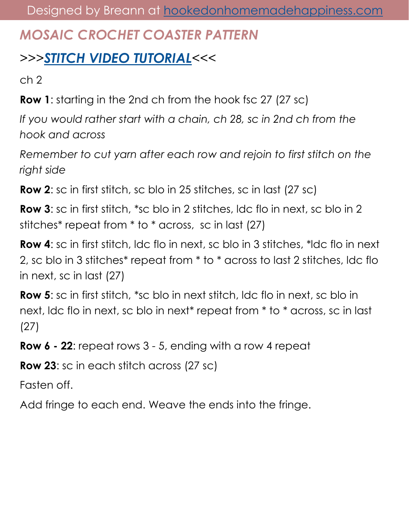## *MOSAIC CROCHET COASTER PATTERN*

# *>>>[STITCH VIDEO TUTORIAL](https://www.youtube.com/watch?v=jWio75YwhG0)<<<*

ch 2

**Row 1**: starting in the 2nd ch from the hook fsc 27 (27 sc)

*If you would rather start with a chain, ch 28, sc in 2nd ch from the hook and across*

*Remember to cut yarn after each row and rejoin to first stitch on the right side*

**Row 2**: sc in first stitch, sc blo in 25 stitches, sc in last (27 sc)

**Row 3:** sc in first stitch, \*sc blo in 2 stitches, Idc flo in next, sc blo in 2 stitches\* repeat from \* to \* across, sc in last (27)

**Row 4**: sc in first stitch, ldc flo in next, sc blo in 3 stitches, \*ldc flo in next 2, sc blo in 3 stitches\* repeat from \* to \* across to last 2 stitches, ldc flo in next, sc in last (27)

**Row 5:** sc in first stitch, \*sc blo in next stitch, ldc flo in next, sc blo in next, ldc flo in next, sc blo in next\* repeat from \* to \* across, sc in last (27)

**Row 6 - 22**: repeat rows 3 - 5, ending with a row 4 repeat

**Row 23**: sc in each stitch across (27 sc)

Fasten off.

Add fringe to each end. Weave the ends into the fringe.